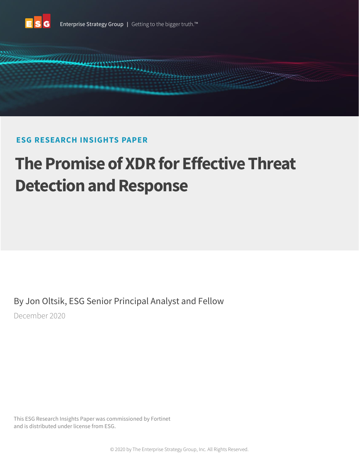

# **ESG RESEARCH INSIGHTS PAPER**

# **The Promise of XDR for Effective Threat Detection and Response**

By Jon Oltsik, ESG Senior Principal Analyst and Fellow

December 2020

This ESG Research Insights Paper was commissioned by Fortinet and is distributed under license from ESG.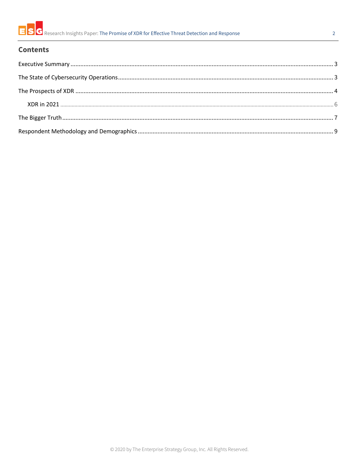

### **Contents**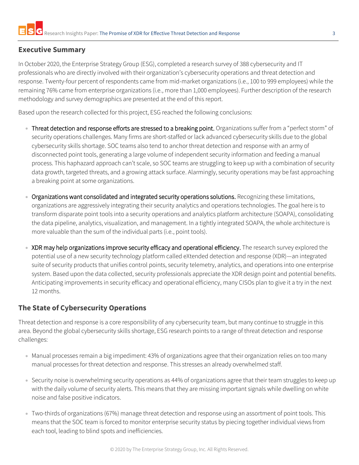# <span id="page-2-0"></span>**Executive Summary**

In October 2020, the Enterprise Strategy Group (ESG), completed a research survey of 388 cybersecurity and IT professionals who are directly involved with their organization's cybersecurity operations and threat detection and response. Twenty-four percent of respondents came from mid-market organizations (i.e., 100 to 999 employees) while the remaining 76% came from enterprise organizations (i.e., more than 1,000 employees). Further description of the research methodology and survey demographics are presented at the end of this report.

Based upon the research collected for this project, ESG reached the following conclusions:

- Threat detection and response efforts are stressed to a breaking point. Organizations suffer from a "perfect storm" of security operations challenges. Many firms are short-staffed or lack advanced cybersecurity skills due to the global cybersecurity skills shortage. SOC teams also tend to anchor threat detection and response with an army of disconnected point tools, generating a large volume of independent security information and feeding a manual process. This haphazard approach can't scale, so SOC teams are struggling to keep up with a combination of security data growth, targeted threats, and a growing attack surface. Alarmingly, security operations may be fast approaching a breaking point at some organizations.
- Organizations want consolidated and integrated security operations solutions. Recognizing these limitations, organizations are aggressively integrating their security analytics and operations technologies. The goal here is to transform disparate point tools into a security operations and analytics platform architecture (SOAPA), consolidating the data pipeline, analytics, visualization, and management. In a tightly integrated SOAPA, the whole architecture is more valuable than the sum of the individual parts (i.e., point tools).
- XDR may help organizations improve security efficacy and operational efficiency. The research survey explored the potential use of a new security technology platform called eXtended detection and response (XDR)—an integrated suite of security products that unifies control points, security telemetry, analytics, and operations into one enterprise system. Based upon the data collected, security professionals appreciate the XDR design point and potential benefits. Anticipating improvements in security efficacy and operational efficiency, many CISOs plan to give it a try in the next 12 months.

# <span id="page-2-1"></span>**The State of Cybersecurity Operations**

Threat detection and response is a core responsibility of any cybersecurity team, but many continue to struggle in this area. Beyond the global cybersecurity skills shortage, ESG research points to a range of threat detection and response challenges:

- Manual processes remain a big impediment: 43% of organizations agree that their organization relies on too many manual processes for threat detection and response. This stresses an already overwhelmed staff.
- Security noise is overwhelming security operations as 44% of organizations agree that their team struggles to keep up with the daily volume of security alerts. This means that they are missing important signals while dwelling on white noise and false positive indicators.
- Two-thirds of organizations (67%) manage threat detection and response using an assortment of point tools. This means that the SOC team is forced to monitor enterprise security status by piecing together individual views from each tool, leading to blind spots and inefficiencies.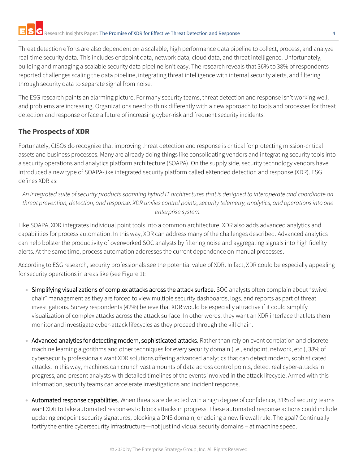Threat detection efforts are also dependent on a scalable, high performance data pipeline to collect, process, and analyze real-time security data. This includes endpoint data, network data, cloud data, and threat intelligence. Unfortunately, building and managing a scalable security data pipeline isn't easy. The research reveals that 36% to 38% of respondents reported challenges scaling the data pipeline, integrating threat intelligence with internal security alerts, and filtering through security data to separate signal from noise.

The ESG research paints an alarming picture. For many security teams, threat detection and response isn't working well, and problems are increasing. Organizations need to think differently with a new approach to tools and processes for threat detection and response or face a future of increasing cyber-risk and frequent security incidents.

# <span id="page-3-0"></span>**The Prospects of XDR**

Fortunately, CISOs do recognize that improving threat detection and response is critical for protecting mission-critical assets and business processes. Many are already doing things like consolidating vendors and integrating security tools into a security operations and analytics platform architecture (SOAPA). On the supply side, security technology vendors have introduced a new type of SOAPA-like integrated security platform called eXtended detection and response (XDR). ESG defines XDR as:

*An integrated suite of security products spanning hybrid IT architectures that is designed to interoperate and coordinate on threat prevention, detection, and response. XDR unifies control points, security telemetry, analytics, and operations into one enterprise system.*

Like SOAPA, XDR integrates individual point tools into a common architecture. XDR also adds advanced analytics and capabilities for process automation. In this way, XDR can address many of the challenges described. Advanced analytics can help bolster the productivity of overworked SOC analysts by filtering noise and aggregating signals into high fidelity alerts. At the same time, process automation addresses the current dependence on manual processes.

According to ESG research, security professionals see the potential value of XDR. In fact, XDR could be especially appealing for security operations in areas like (see Figure 1):

- Simplifying visualizations of complex attacks across the attack surface. SOC analysts often complain about "swivel chair" management as they are forced to view multiple security dashboards, logs, and reports as part of threat investigations. Survey respondents (42%) believe that XDR would be especially attractive if it could simplify visualization of complex attacks across the attack surface. In other words, they want an XDR interface that lets them monitor and investigate cyber-attack lifecycles as they proceed through the kill chain.
- Advanced analytics for detecting modern, sophisticated attacks. Rather than rely on event correlation and discrete machine learning algorithms and other techniques for every security domain (i.e., endpoint, network, etc.), 38% of cybersecurity professionals want XDR solutions offering advanced analytics that can detect modern, sophisticated attacks. In this way, machines can crunch vast amounts of data across control points, detect real cyber-attacks in progress, and present analysts with detailed timelines of the events involved in the attack lifecycle. Armed with this information, security teams can accelerate investigations and incident response.
- Automated response capabilities. When threats are detected with a high degree of confidence, 31% of security teams want XDR to take automated responses to block attacks in progress. These automated response actions could include updating endpoint security signatures, blocking a DNS domain, or adding a new firewall rule. The goal? Continually fortify the entire cybersecurity infrastructure—not just individual security domains – at machine speed.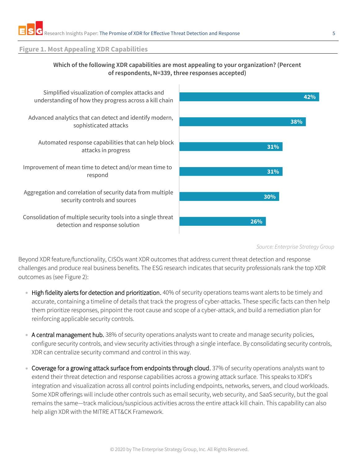#### **Figure 1. Most Appealing XDR Capabilities**

#### **Which of the following XDR capabilities are most appealing to your organization? (Percent of respondents, N=339, three responses accepted)**



*Source: Enterprise Strategy Group*

Beyond XDR feature/functionality, CISOs want XDR outcomes that address current threat detection and response challenges and produce real business benefits. The ESG research indicates that security professionals rank the top XDR outcomes as (see Figure 2):

- High fidelity alerts for detection and prioritization. 40% of security operations teams want alerts to be timely and accurate, containing a timeline of details that track the progress of cyber-attacks. These specific facts can then help them prioritize responses, pinpoint the root cause and scope of a cyber-attack, and build a remediation plan for reinforcing applicable security controls.
- A central management hub. 38% of security operations analysts want to create and manage security policies, configure security controls, and view security activities through a single interface. By consolidating security controls, XDR can centralize security command and control in this way.
- Coverage for a growing attack surface from endpoints through cloud. 37% of security operations analysts want to extend their threat detection and response capabilities across a growing attack surface. This speaks to XDR's integration and visualization across all control points including endpoints, networks, servers, and cloud workloads. Some XDR offerings will include other controls such as email security, web security, and SaaS security, but the goal remains the same—track malicious/suspicious activities across the entire attack kill chain. This capability can also help align XDR with the MITRE ATT&CK Framework.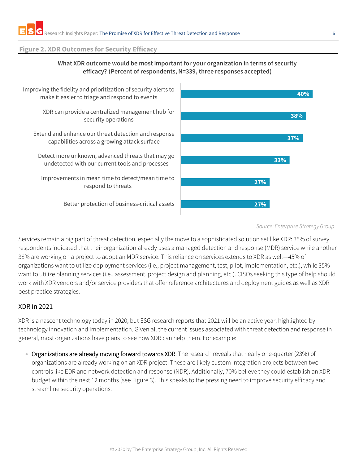#### **Figure 2. XDR Outcomes for Security Efficacy**



**What XDR outcome would be most important for your organization in terms of security** 

#### *Source: Enterprise Strategy Group*

Services remain a big part of threat detection, especially the move to a sophisticated solution set like XDR: 35% of survey respondents indicated that their organization already uses a managed detection and response (MDR) service while another 38% are working on a project to adopt an MDR service. This reliance on services extends to XDR as well—45% of organizations want to utilize deployment services (i.e., project management, test, pilot, implementation, etc.), while 35% want to utilize planning services (i.e., assessment, project design and planning, etc.). CISOs seeking this type of help should work with XDR vendors and/or service providers that offer reference architectures and deployment guides as well as XDR best practice strategies.

#### <span id="page-5-0"></span>XDR in 2021

XDR is a nascent technology today in 2020, but ESG research reports that 2021 will be an active year, highlighted by technology innovation and implementation. Given all the current issues associated with threat detection and response in general, most organizations have plans to see how XDR can help them. For example:

• Organizations are already moving forward towards XDR. The research reveals that nearly one-quarter (23%) of organizations are already working on an XDR project. These are likely custom integration projects between two controls like EDR and network detection and response (NDR). Additionally, 70% believe they could establish an XDR budget within the next 12 months (see Figure 3). This speaks to the pressing need to improve security efficacy and streamline security operations.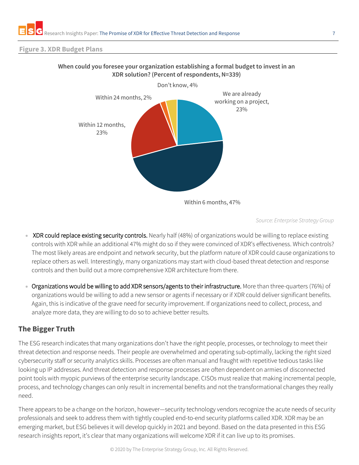#### **Figure 3. XDR Budget Plans**



#### **When could you foresee your organization establishing a formal budget to invest in an XDR solution? (Percent of respondents, N=339)**

*Source: Enterprise Strategy Group*

- XDR could replace existing security controls. Nearly half (48%) of organizations would be willing to replace existing controls with XDR while an additional 47% might do so if they were convinced of XDR's effectiveness. Which controls? The most likely areas are endpoint and network security, but the platform nature of XDR could cause organizations to replace others as well. Interestingly, many organizations may start with cloud-based threat detection and response controls and then build out a more comprehensive XDR architecture from there.
- Organizations would be willing to add XDR sensors/agents to their infrastructure. More than three-quarters (76%) of organizations would be willing to add a new sensor or agents if necessary or if XDR could deliver significant benefits. Again, this is indicative of the grave need for security improvement. If organizations need to collect, process, and analyze more data, they are willing to do so to achieve better results.

# <span id="page-6-0"></span>**The Bigger Truth**

The ESG research indicates that many organizations don't have the right people, processes, or technology to meet their threat detection and response needs. Their people are overwhelmed and operating sub-optimally, lacking the right sized cybersecurity staff or security analytics skills. Processes are often manual and fraught with repetitive tedious tasks like looking up IP addresses. And threat detection and response processes are often dependent on armies of disconnected point tools with myopic purviews of the enterprise security landscape. CISOs must realize that making incremental people, process, and technology changes can only result in incremental benefits and not the transformational changes they really need.

There appears to be a change on the horizon, however—security technology vendors recognize the acute needs of security professionals and seek to address them with tightly coupled end-to-end security platforms called XDR. XDR may be an emerging market, but ESG believes it will develop quickly in 2021 and beyond. Based on the data presented in this ESG research insights report, it's clear that many organizations will welcome XDR if it can live up to its promises.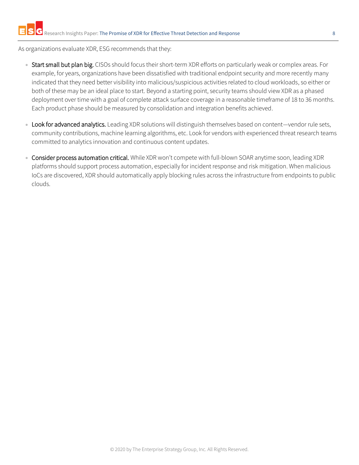As organizations evaluate XDR, ESG recommends that they:

- Start small but plan big. CISOs should focus their short-term XDR efforts on particularly weak or complex areas. For example, for years, organizations have been dissatisfied with traditional endpoint security and more recently many indicated that they need better visibility into malicious/suspicious activities related to cloud workloads, so either or both of these may be an ideal place to start. Beyond a starting point, security teams should view XDR as a phased deployment over time with a goal of complete attack surface coverage in a reasonable timeframe of 18 to 36 months. Each product phase should be measured by consolidation and integration benefits achieved.
- Look for advanced analytics. Leading XDR solutions will distinguish themselves based on content—vendor rule sets, community contributions, machine learning algorithms, etc. Look for vendors with experienced threat research teams committed to analytics innovation and continuous content updates.
- Consider process automation critical. While XDR won't compete with full-blown SOAR anytime soon, leading XDR platforms should support process automation, especially for incident response and risk mitigation. When malicious IoCs are discovered, XDR should automatically apply blocking rules across the infrastructure from endpoints to public clouds.